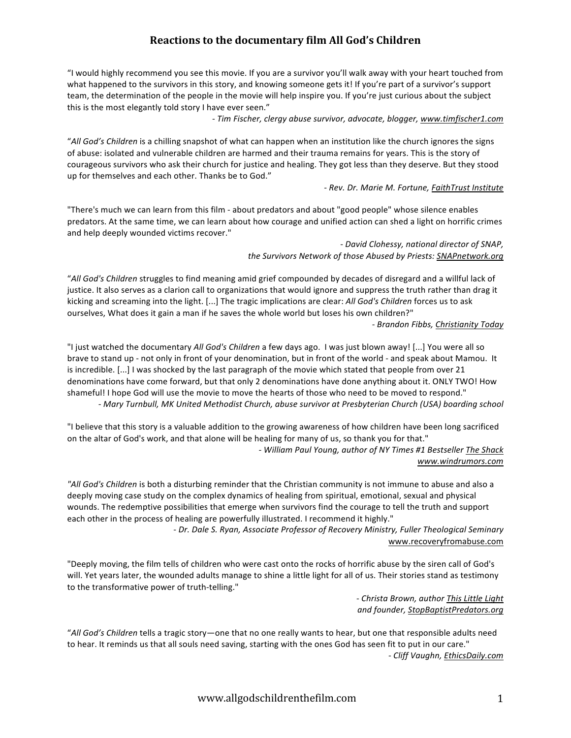## **Reactions
to
the
documentary
film
All
God's
Children**

"I would highly recommend you see this movie. If you are a survivor you'll walk away with your heart touched from what happened to the survivors in this story, and knowing someone gets it! If you're part of a survivor's support team, the determination of the people in the movie will help inspire you. If you're just curious about the subject this is the most elegantly told story I have ever seen."

*‐
Tim
Fischer,
clergy
abuse
survivor,
advocate,
blogger,
www.timfischer1.com*

"All God's Children is a chilling snapshot of what can happen when an institution like the church ignores the signs of abuse: isolated and vulnerable children are harmed and their trauma remains for years. This is the story of courageous survivors who ask their church for justice and healing. They got less than they deserve. But they stood up for themselves and each other. Thanks be to God."

### *‐
Rev.
Dr.
Marie
M.
Fortune,
FaithTrust
Institute*

"There's much we can learn from this film - about predators and about "good people" whose silence enables predators. At the same time, we can learn about how courage and unified action can shed a light on horrific crimes and
help
deeply
wounded
victims
recover."

> *‐
> David
> Clohessy,
> national
> director
> of
> SNAP, the
> Survivors
> Network
> of
> those
> Abused
> by
> Priests:
> SNAPnetwork.org*

"All God's Children struggles to find meaning amid grief compounded by decades of disregard and a willful lack of justice. It also serves as a clarion call to organizations that would ignore and suppress the truth rather than drag it kicking and screaming into the light. [...] The tragic implications are clear: All God's Children forces us to ask ourselves, What does it gain a man if he saves the whole world but loses his own children?"

*‐
Brandon
Fibbs,
Christianity
Today*

"I just watched the documentary All God's Children a few days ago. I was just blown away! [...] You were all so brave to stand up - not only in front of your denomination, but in front of the world - and speak about Mamou. It is incredible. [...] I was shocked by the last paragraph of the movie which stated that people from over 21 denominations have come forward, but that only 2 denominations have done anything about it. ONLY TWO! How shameful! I hope God will use the movie to move the hearts of those who need to be moved to respond." *‐ Mary
Turnbull,
MK
United
Methodist
Church,
abuse
survivor
at
Presbyterian
Church
(USA)
boarding
school*

"I believe that this story is a valuable addition to the growing awareness of how children have been long sacrificed on the altar of God's work, and that alone will be healing for many of us, so thank you for that." *‐
William
Paul
Young,
author
of
NY
Times
#1
Bestseller
The
Shack*

#### *www.windrumors.com*

"All God's Children is both a disturbing reminder that the Christian community is not immune to abuse and also a deeply moving case study on the complex dynamics of healing from spiritual, emotional, sexual and physical wounds. The redemptive possibilities that emerge when survivors find the courage to tell the truth and support each other in the process of healing are powerfully illustrated. I recommend it highly."

> *‐
> Dr.
> Dale
> S.
> Ryan,
> Associate
> Professor
> of
> Recovery
> Ministry,
> Fuller
> Theological
> Seminary* www.recoveryfromabuse.com

"Deeply moving, the film tells of children who were cast onto the rocks of horrific abuse by the siren call of God's will. Yet years later, the wounded adults manage to shine a little light for all of us. Their stories stand as testimony to the transformative power of truth-telling."

> *‐
> Christa
> Brown,
> author
> This
> Little
> Light and
> founder,
> StopBaptistPredators.org*

"All God's Children tells a tragic story-one that no one really wants to hear, but one that responsible adults need to hear. It reminds us that all souls need saving, starting with the ones God has seen fit to put in our care." *‐
Cliff
Vaughn,
EthicsDaily.com*